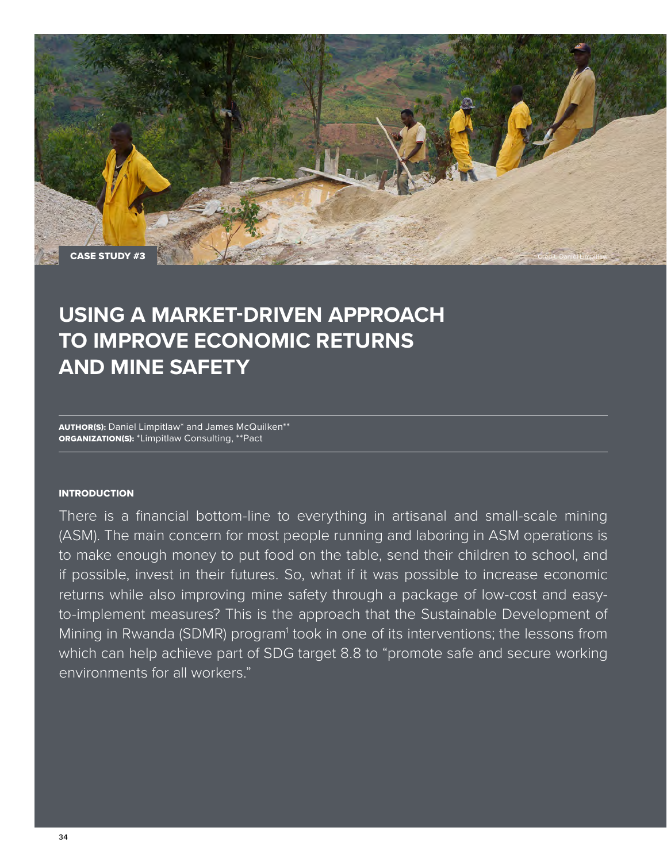

# **USING A MARKET-DRIVEN APPROACH TO IMPROVE ECONOMIC RETURNS AND MINE SAFETY**

AUTHOR(S): Daniel Limpitlaw\* and James McQuilken\*\* ORGANIZATION(S): \*Limpitlaw Consulting, \*\*Pact

### **INTRODUCTION**

There is a financial bottom-line to everything in artisanal and small-scale mining (ASM). The main concern for most people running and laboring in ASM operations is to make enough money to put food on the table, send their children to school, and if possible, invest in their futures. So, what if it was possible to increase economic returns while also improving mine safety through a package of low-cost and easyto-implement measures? This is the approach that the Sustainable Development of Mining in Rwanda (SDMR) program<sup>1</sup> took in one of its interventions; the lessons from which can help achieve part of SDG target 8.8 to "promote safe and secure working environments for all workers."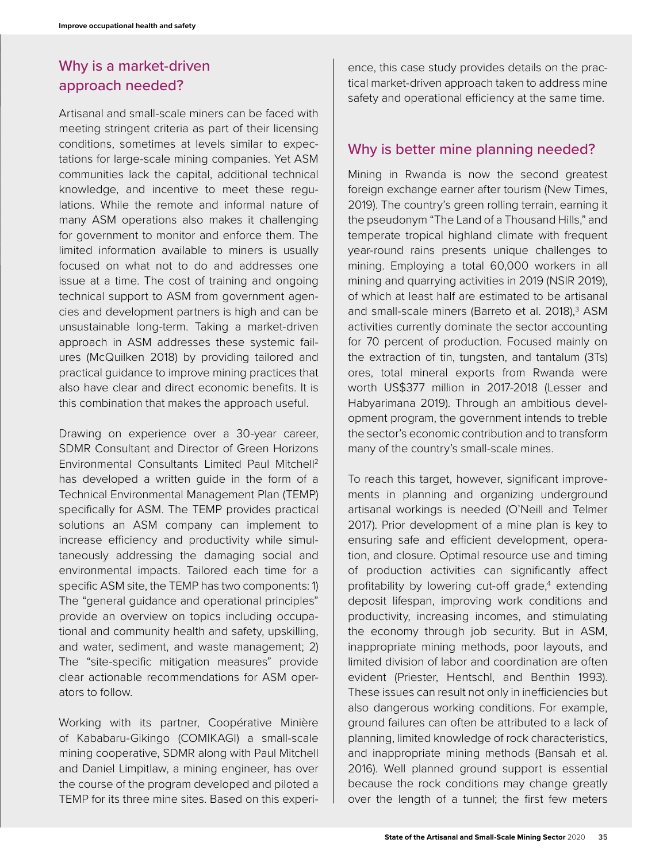# Why is a market-driven approach needed?

Artisanal and small-scale miners can be faced with meeting stringent criteria as part of their licensing conditions, sometimes at levels similar to expectations for large-scale mining companies. Yet ASM communities lack the capital, additional technical knowledge, and incentive to meet these regulations. While the remote and informal nature of many ASM operations also makes it challenging for government to monitor and enforce them. The limited information available to miners is usually focused on what not to do and addresses one issue at a time. The cost of training and ongoing technical support to ASM from government agencies and development partners is high and can be unsustainable long-term. Taking a market-driven approach in ASM addresses these systemic failures (McQuilken 2018) by providing tailored and practical guidance to improve mining practices that also have clear and direct economic benefits. It is this combination that makes the approach useful.

Drawing on experience over a 30-year career, SDMR Consultant and Director of Green Horizons Environmental Consultants Limited Paul Mitchell2 has developed a written guide in the form of a Technical Environmental Management Plan (TEMP) specifically for ASM. The TEMP provides practical solutions an ASM company can implement to increase efficiency and productivity while simultaneously addressing the damaging social and environmental impacts. Tailored each time for a specific ASM site, the TEMP has two components: 1) The "general guidance and operational principles" provide an overview on topics including occupational and community health and safety, upskilling, and water, sediment, and waste management; 2) The "site-specific mitigation measures" provide clear actionable recommendations for ASM operators to follow.

Working with its partner, Coopérative Minière of Kababaru-Gikingo (COMIKAGI) a small-scale mining cooperative, SDMR along with Paul Mitchell and Daniel Limpitlaw, a mining engineer, has over the course of the program developed and piloted a TEMP for its three mine sites. Based on this experi-

ence, this case study provides details on the practical market-driven approach taken to address mine safety and operational efficiency at the same time.

## Why is better mine planning needed?

Mining in Rwanda is now the second greatest foreign exchange earner after tourism (New Times, 2019). The country's green rolling terrain, earning it the pseudonym "The Land of a Thousand Hills," and temperate tropical highland climate with frequent year-round rains presents unique challenges to mining. Employing a total 60,000 workers in all mining and quarrying activities in 2019 (NSIR 2019), of which at least half are estimated to be artisanal and small-scale miners (Barreto et al. 2018),<sup>3</sup> ASM activities currently dominate the sector accounting for 70 percent of production. Focused mainly on the extraction of tin, tungsten, and tantalum (3Ts) ores, total mineral exports from Rwanda were worth US\$377 million in 2017-2018 (Lesser and Habyarimana 2019). Through an ambitious development program, the government intends to treble the sector's economic contribution and to transform many of the country's small-scale mines.

To reach this target, however, significant improvements in planning and organizing underground artisanal workings is needed (O'Neill and Telmer 2017). Prior development of a mine plan is key to ensuring safe and efficient development, operation, and closure. Optimal resource use and timing of production activities can significantly affect profitability by lowering cut-off grade,<sup>4</sup> extending deposit lifespan, improving work conditions and productivity, increasing incomes, and stimulating the economy through job security. But in ASM, inappropriate mining methods, poor layouts, and limited division of labor and coordination are often evident (Priester, Hentschl, and Benthin 1993). These issues can result not only in inefficiencies but also dangerous working conditions. For example, ground failures can often be attributed to a lack of planning, limited knowledge of rock characteristics, and inappropriate mining methods (Bansah et al. 2016). Well planned ground support is essential because the rock conditions may change greatly over the length of a tunnel; the first few meters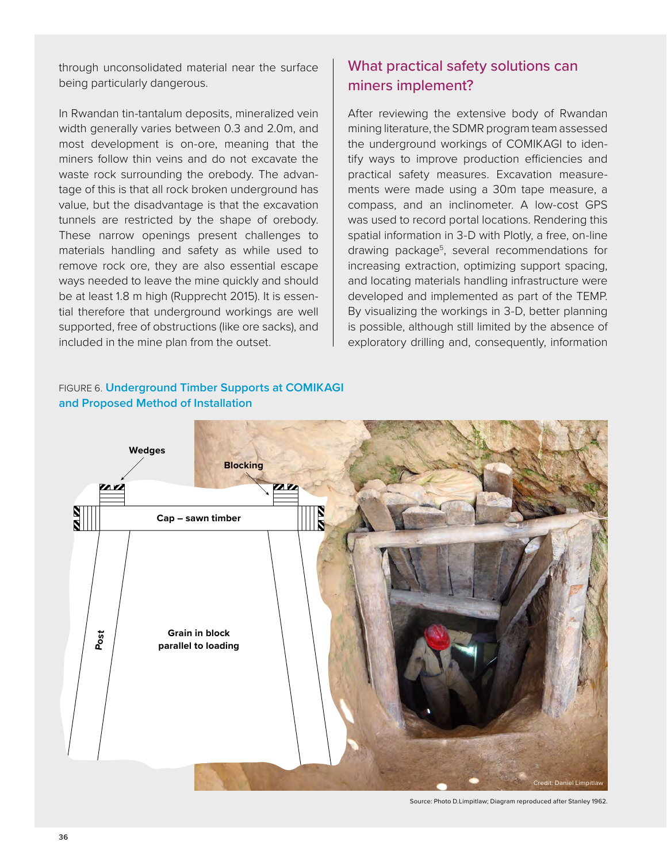through unconsolidated material near the surface being particularly dangerous.

In Rwandan tin-tantalum deposits, mineralized vein width generally varies between 0.3 and 2.0m, and most development is on-ore, meaning that the miners follow thin veins and do not excavate the waste rock surrounding the orebody. The advantage of this is that all rock broken underground has value, but the disadvantage is that the excavation tunnels are restricted by the shape of orebody. These narrow openings present challenges to materials handling and safety as while used to remove rock ore, they are also essential escape ways needed to leave the mine quickly and should be at least 1.8 m high (Rupprecht 2015). It is essential therefore that underground workings are well supported, free of obstructions (like ore sacks), and included in the mine plan from the outset.

# What practical safety solutions can miners implement?

After reviewing the extensive body of Rwandan mining literature, the SDMR program team assessed the underground workings of COMIKAGI to identify ways to improve production efficiencies and practical safety measures. Excavation measurements were made using a 30m tape measure, a compass, and an inclinometer. A low-cost GPS was used to record portal locations. Rendering this spatial information in 3-D with Plotly, a free, on-line drawing package<sup>5</sup>, several recommendations for increasing extraction, optimizing support spacing, and locating materials handling infrastructure were developed and implemented as part of the TEMP. By visualizing the workings in 3-D, better planning is possible, although still limited by the absence of exploratory drilling and, consequently, information



### FIGURE 6. **Underground Timber Supports at COMIKAGI and Proposed Method of Installation**

Source: Photo D.Limpitlaw; Diagram reproduced after Stanley 1962.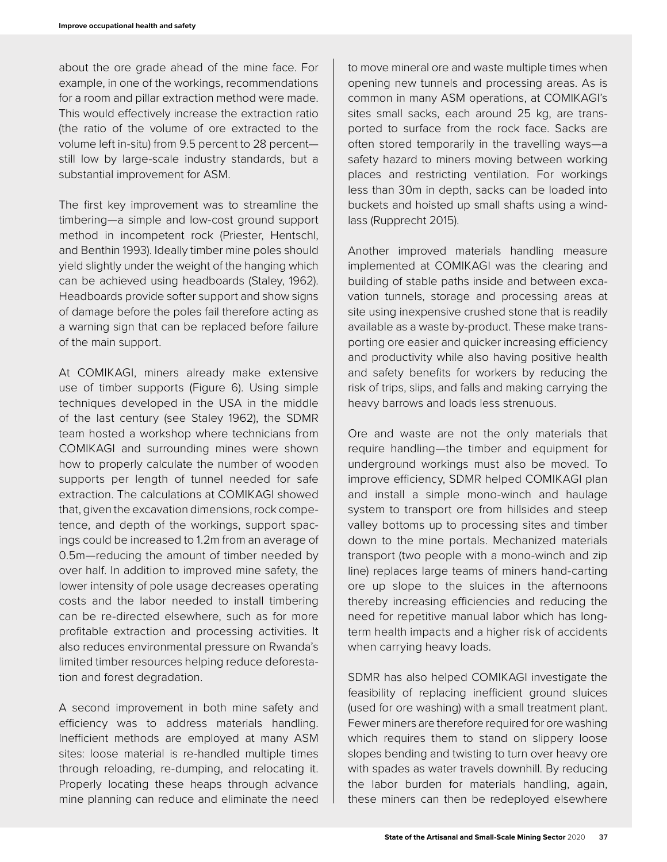about the ore grade ahead of the mine face. For example, in one of the workings, recommendations for a room and pillar extraction method were made. This would effectively increase the extraction ratio (the ratio of the volume of ore extracted to the volume left in-situ) from 9.5 percent to 28 percent still low by large-scale industry standards, but a substantial improvement for ASM.

The first key improvement was to streamline the timbering—a simple and low-cost ground support method in incompetent rock (Priester, Hentschl, and Benthin 1993). Ideally timber mine poles should yield slightly under the weight of the hanging which can be achieved using headboards (Staley, 1962). Headboards provide softer support and show signs of damage before the poles fail therefore acting as a warning sign that can be replaced before failure of the main support.

At COMIKAGI, miners already make extensive use of timber supports (Figure 6). Using simple techniques developed in the USA in the middle of the last century (see Staley 1962), the SDMR team hosted a workshop where technicians from COMIKAGI and surrounding mines were shown how to properly calculate the number of wooden supports per length of tunnel needed for safe extraction. The calculations at COMIKAGI showed that, given the excavation dimensions, rock competence, and depth of the workings, support spacings could be increased to 1.2m from an average of 0.5m—reducing the amount of timber needed by over half. In addition to improved mine safety, the lower intensity of pole usage decreases operating costs and the labor needed to install timbering can be re-directed elsewhere, such as for more profitable extraction and processing activities. It also reduces environmental pressure on Rwanda's limited timber resources helping reduce deforestation and forest degradation.

A second improvement in both mine safety and efficiency was to address materials handling. Inefficient methods are employed at many ASM sites: loose material is re-handled multiple times through reloading, re-dumping, and relocating it. Properly locating these heaps through advance mine planning can reduce and eliminate the need to move mineral ore and waste multiple times when opening new tunnels and processing areas. As is common in many ASM operations, at COMIKAGI's sites small sacks, each around 25 kg, are transported to surface from the rock face. Sacks are often stored temporarily in the travelling ways—a safety hazard to miners moving between working places and restricting ventilation. For workings less than 30m in depth, sacks can be loaded into buckets and hoisted up small shafts using a windlass (Rupprecht 2015).

Another improved materials handling measure implemented at COMIKAGI was the clearing and building of stable paths inside and between excavation tunnels, storage and processing areas at site using inexpensive crushed stone that is readily available as a waste by-product. These make transporting ore easier and quicker increasing efficiency and productivity while also having positive health and safety benefits for workers by reducing the risk of trips, slips, and falls and making carrying the heavy barrows and loads less strenuous.

Ore and waste are not the only materials that require handling—the timber and equipment for underground workings must also be moved. To improve efficiency, SDMR helped COMIKAGI plan and install a simple mono-winch and haulage system to transport ore from hillsides and steep valley bottoms up to processing sites and timber down to the mine portals. Mechanized materials transport (two people with a mono-winch and zip line) replaces large teams of miners hand-carting ore up slope to the sluices in the afternoons thereby increasing efficiencies and reducing the need for repetitive manual labor which has longterm health impacts and a higher risk of accidents when carrying heavy loads.

SDMR has also helped COMIKAGI investigate the feasibility of replacing inefficient ground sluices (used for ore washing) with a small treatment plant. Fewer miners are therefore required for ore washing which requires them to stand on slippery loose slopes bending and twisting to turn over heavy ore with spades as water travels downhill. By reducing the labor burden for materials handling, again, these miners can then be redeployed elsewhere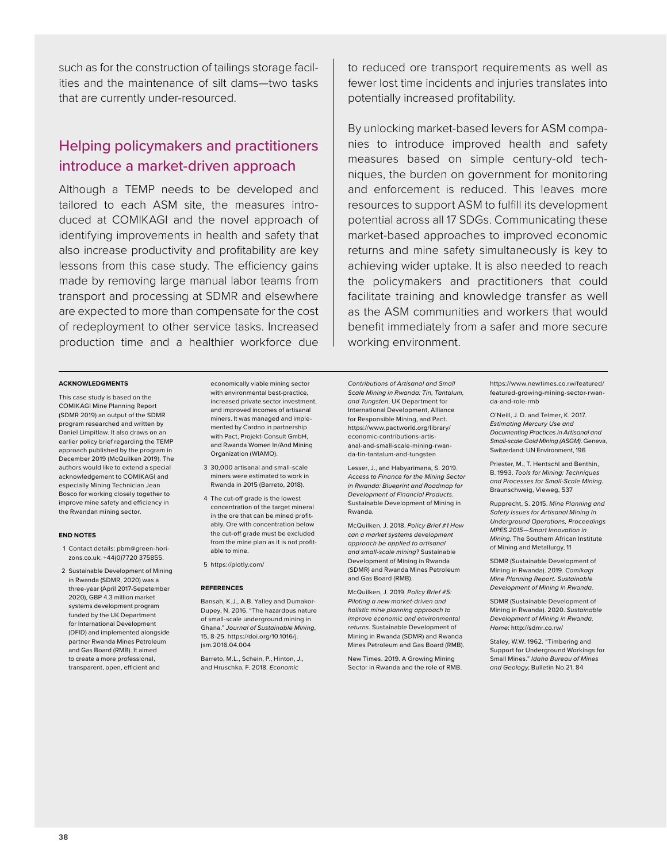such as for the construction of tailings storage facilities and the maintenance of silt dams—two tasks that are currently under-resourced.

# Helping policymakers and practitioners introduce a market-driven approach

Although a TEMP needs to be developed and tailored to each ASM site, the measures introduced at COMIKAGI and the novel approach of identifying improvements in health and safety that also increase productivity and profitability are key lessons from this case study. The efficiency gains made by removing large manual labor teams from transport and processing at SDMR and elsewhere are expected to more than compensate for the cost of redeployment to other service tasks. Increased production time and a healthier workforce due

### **ACKNOWLEDGMENTS**

This case study is based on the COMIKAGI Mine Planning Report (SDMR 2019) an output of the SDMR program researched and written by Daniel Limpitlaw. It also draws on an earlier policy brief regarding the TEMP approach published by the program in December 2019 (McQuilken 2019). The authors would like to extend a special acknowledgement to COMIKAGI and especially Mining Technician Jean Bosco for working closely together to improve mine safety and efficiency in the Rwandan mining sector.

#### **END NOTES**

- 1 Contact details: pbm@green-horizons.co.uk; +44(0)7720 375855.
- 2 Sustainable Development of Mining in Rwanda (SDMR, 2020) was a three-year (April 2017-Sepetember 2020), GBP 4.3 million market systems development program funded by the UK Department for International Development (DFID) and implemented alongside partner Rwanda Mines Petroleum and Gas Board (RMB). It aimed to create a more professional, transparent, open, efficient and

economically viable mining sector with environmental best-practice, increased private sector investment, and improved incomes of artisanal miners. It was managed and implemented by Cardno in partnership with Pact, Projekt-Consult GmbH, and Rwanda Women In/And Mining Organization (WIAMO).

- 3 30,000 artisanal and small-scale miners were estimated to work in Rwanda in 2015 (Barreto, 2018).
- 4 The cut-off grade is the lowest concentration of the target mineral in the ore that can be mined profitably. Ore with concentration below the cut-off grade must be excluded from the mine plan as it is not profitable to mine.

5 https://plotly.com/

#### **REFERENCES**

Bansah, K.J., A.B. Yalley and Dumakor-Dupey, N. 2016. "The hazardous nature of small-scale underground mining in Ghana." *Journal of Sustainable Mining*, 15, 8-25. https://doi.org/10.1016/j. jsm.2016.04.004

Barreto, M.L., Schein, P., Hinton, J., and Hruschka, F. 2018. *Economic* 

to reduced ore transport requirements as well as fewer lost time incidents and injuries translates into potentially increased profitability.

By unlocking market-based levers for ASM companies to introduce improved health and safety measures based on simple century-old techniques, the burden on government for monitoring and enforcement is reduced. This leaves more resources to support ASM to fulfill its development potential across all 17 SDGs. Communicating these market-based approaches to improved economic returns and mine safety simultaneously is key to achieving wider uptake. It is also needed to reach the policymakers and practitioners that could facilitate training and knowledge transfer as well as the ASM communities and workers that would benefit immediately from a safer and more secure working environment.

*Contributions of Artisanal and Small Scale Mining in Rwanda: Tin, Tantalum, and Tungsten*. UK Department for International Development, Alliance for Responsible Mining, and Pact. https://www.pactworld.org/library/ economic-contributions-artisanal-and-small-scale-mining-rwanda-tin-tantalum-and-tungsten

Lesser, J., and Habyarimana, S. 2019. *Access to Finance for the Mining Sector in Rwanda: Blueprint and Roadmap for Development of Financial Products*. Sustainable Development of Mining in Rwanda.

McQuilken, J. 2018. *Policy Brief #1 How can a market systems development approach be applied to artisanal and small-scale mining?* Sustainable Development of Mining in Rwanda (SDMR) and Rwanda Mines Petroleum and Gas Board (RMB).

McQuilken, J. 2019. *Policy Brief #5: Piloting a new market-driven and holistic mine planning approach to improve economic and environmental returns*. Sustainable Development of Mining in Rwanda (SDMR) and Rwanda Mines Petroleum and Gas Board (RMB).

New Times. 2019. A Growing Mining Sector in Rwanda and the role of RMB. https://www.newtimes.co.rw/featured/ featured-growing-mining-sector-rwanda-and-role-rmb

O'Neill, J. D. and Telmer, K. 2017. *Estimating Mercury Use and Documenting Practices in Artisanal and Small-scale Gold Mining (ASGM)*. Geneva, Switzerland: UN Environment, 196

Priester, M., T. Hentschl and Benthin, B. 1993. *Tools for Mining: Techniques and Processes for Small-Scale Mining*. Braunschweig, Vieweg, 537

Rupprecht, S. 2015. *Mine Planning and Safety Issues for Artisanal Mining In Underground Operations, Proceedings MPES 2015*—*Smart Innovation in Mining*. The Southern African Institute of Mining and Metallurgy, 11

SDMR (Sustainable Development of Mining in Rwanda). 2019. *Comikagi Mine Planning Report. Sustainable Development of Mining in Rwanda.* 

SDMR (Sustainable Development of Mining in Rwanda). 2020. *Sustainable Development of Mining in Rwanda, Home*: http://sdmr.co.rw/

Staley, W.W. 1962. "Timbering and Support for Underground Workings for Small Mines." *Idaho Bureau of Mines and Geology*, Bulletin No.21, 84